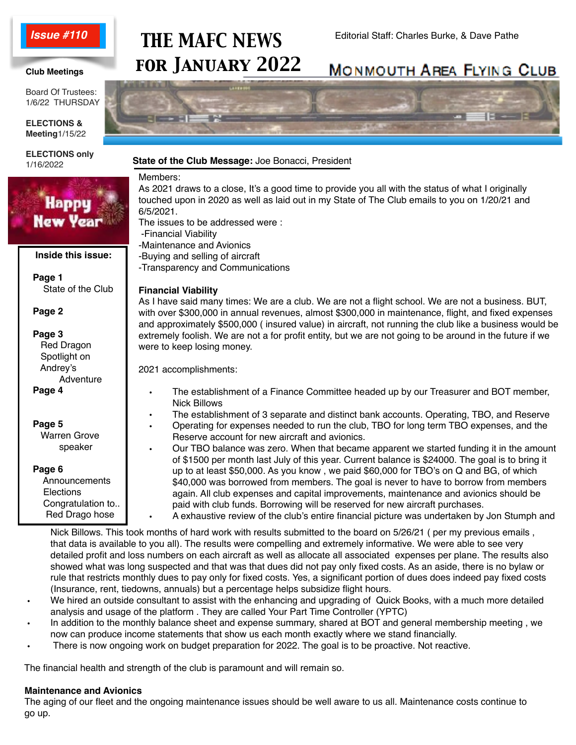### *Issue #110*

## Editorial Staff: Charles Burke, & Dave Pathe *THE MAFC NEWS for January 2022*

### **Club Meetings**

Board Of Trustees: 1/6/22 THURSDAY

**ELECTIONS & Meeting**1/15/22

**ELECTIONS only** 1/16/2022



# **MONMOUTH AREA FLYING CLUB**



### **State of the Club Message:** Joe Bonacci, President

Members:

As 2021 draws to a close, It's a good time to provide you all with the status of what I originally touched upon in 2020 as well as laid out in my State of The Club emails to you on 1/20/21 and

-Transparency and Communications

As I have said many times: We are a club. We are not a flight school. We are not a business. BUT, with over \$300,000 in annual revenues, almost \$300,000 in maintenance, flight, and fixed expenses and approximately \$500,000 ( insured value) in aircraft, not running the club like a business would be extremely foolish. We are not a for profit entity, but we are not going to be around in the future if we

- The establishment of a Finance Committee headed up by our Treasurer and BOT member,
- The establishment of 3 separate and distinct bank accounts. Operating, TBO, and Reserve
- Operating for expenses needed to run the club, TBO for long term TBO expenses, and the Reserve account for new aircraft and avionics.
- Our TBO balance was zero. When that became apparent we started funding it in the amount of \$1500 per month last July of this year. Current balance is \$24000. The goal is to bring it up to at least \$50,000. As you know , we paid \$60,000 for TBO's on Q and BG, of which \$40,000 was borrowed from members. The goal is never to have to borrow from members again. All club expenses and capital improvements, maintenance and avionics should be paid with club funds. Borrowing will be reserved for new aircraft purchases. • A exhaustive review of the club's entire financial picture was undertaken by Jon Stumph and

• Nick Billows. This took months of hard work with results submitted to the board on 5/26/21 ( per my previous emails , that data is available to you all). The results were compelling and extremely informative. We were able to see very detailed profit and loss numbers on each aircraft as well as allocate all associated expenses per plane. The results also showed what was long suspected and that was that dues did not pay only fixed costs. As an aside, there is no bylaw or rule that restricts monthly dues to pay only for fixed costs. Yes, a significant portion of dues does indeed pay fixed costs (Insurance, rent, tiedowns, annuals) but a percentage helps subsidize flight hours.

- We hired an outside consultant to assist with the enhancing and upgrading of Quick Books, with a much more detailed analysis and usage of the platform . They are called Your Part Time Controller (YPTC)
- In addition to the monthly balance sheet and expense summary, shared at BOT and general membership meeting , we now can produce income statements that show us each month exactly where we stand financially.
- There is now ongoing work on budget preparation for 2022. The goal is to be proactive. Not reactive.

The financial health and strength of the club is paramount and will remain so.

### **Maintenance and Avionics**

 The aging of our fleet and the ongoing maintenance issues should be well aware to us all. Maintenance costs continue to go up.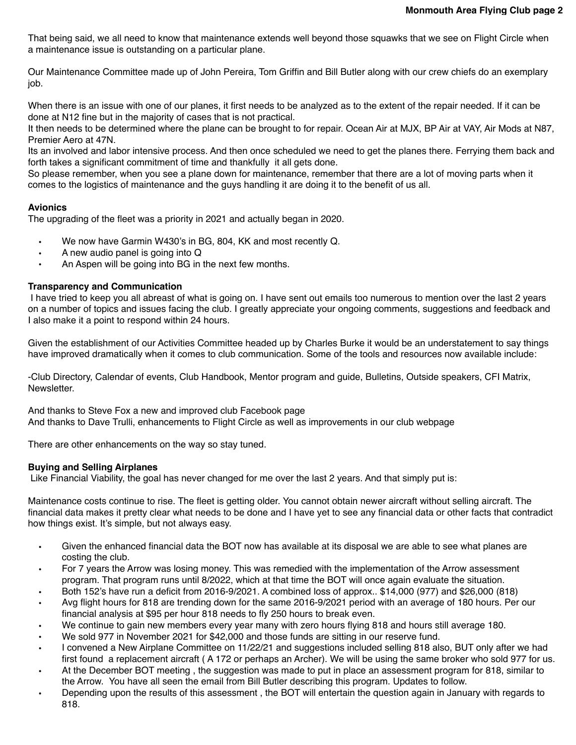That being said, we all need to know that maintenance extends well beyond those squawks that we see on Flight Circle when a maintenance issue is outstanding on a particular plane.

Our Maintenance Committee made up of John Pereira, Tom Griffin and Bill Butler along with our crew chiefs do an exemplary job.

When there is an issue with one of our planes, it first needs to be analyzed as to the extent of the repair needed. If it can be done at N12 fine but in the majority of cases that is not practical.

It then needs to be determined where the plane can be brought to for repair. Ocean Air at MJX, BP Air at VAY, Air Mods at N87, Premier Aero at 47N.

Its an involved and labor intensive process. And then once scheduled we need to get the planes there. Ferrying them back and forth takes a significant commitment of time and thankfully it all gets done.

So please remember, when you see a plane down for maintenance, remember that there are a lot of moving parts when it comes to the logistics of maintenance and the guys handling it are doing it to the benefit of us all.

### **Avionics**

The upgrading of the fleet was a priority in 2021 and actually began in 2020.

- We now have Garmin W430's in BG, 804, KK and most recently Q.
- A new audio panel is going into Q
- An Aspen will be going into BG in the next few months.

### **Transparency and Communication**

I have tried to keep you all abreast of what is going on. I have sent out emails too numerous to mention over the last 2 years on a number of topics and issues facing the club. I greatly appreciate your ongoing comments, suggestions and feedback and I also make it a point to respond within 24 hours.

Given the establishment of our Activities Committee headed up by Charles Burke it would be an understatement to say things have improved dramatically when it comes to club communication. Some of the tools and resources now available include:

-Club Directory, Calendar of events, Club Handbook, Mentor program and guide, Bulletins, Outside speakers, CFI Matrix, Newsletter.

And thanks to Steve Fox a new and improved club Facebook page And thanks to Dave Trulli, enhancements to Flight Circle as well as improvements in our club webpage

There are other enhancements on the way so stay tuned.

### **Buying and Selling Airplanes**

Like Financial Viability, the goal has never changed for me over the last 2 years. And that simply put is:

Maintenance costs continue to rise. The fleet is getting older. You cannot obtain newer aircraft without selling aircraft. The financial data makes it pretty clear what needs to be done and I have yet to see any financial data or other facts that contradict how things exist. It's simple, but not always easy.

- Given the enhanced financial data the BOT now has available at its disposal we are able to see what planes are costing the club.
- For 7 years the Arrow was losing money. This was remedied with the implementation of the Arrow assessment program. That program runs until 8/2022, which at that time the BOT will once again evaluate the situation.
- Both 152's have run a deficit from 2016-9/2021. A combined loss of approx.. \$14,000 (977) and \$26,000 (818)
- Avg flight hours for 818 are trending down for the same 2016-9/2021 period with an average of 180 hours. Per our financial analysis at \$95 per hour 818 needs to fly 250 hours to break even.
- We continue to gain new members every year many with zero hours flying 818 and hours still average 180.
- We sold 977 in November 2021 for \$42,000 and those funds are sitting in our reserve fund.
- I convened a New Airplane Committee on 11/22/21 and suggestions included selling 818 also, BUT only after we had first found a replacement aircraft ( A 172 or perhaps an Archer). We will be using the same broker who sold 977 for us.
- At the December BOT meeting , the suggestion was made to put in place an assessment program for 818, similar to the Arrow. You have all seen the email from Bill Butler describing this program. Updates to follow.
- Depending upon the results of this assessment , the BOT will entertain the question again in January with regards to 818.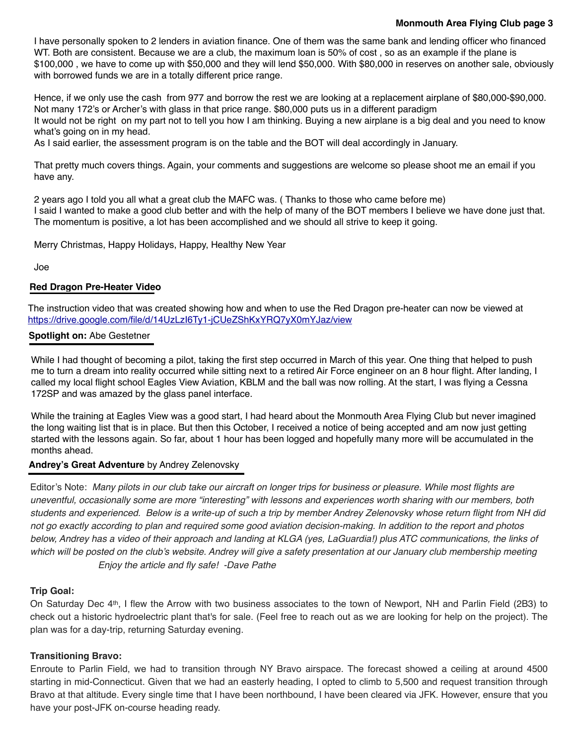### **Monmouth Area Flying Club page 3**

I have personally spoken to 2 lenders in aviation finance. One of them was the same bank and lending officer who financed WT. Both are consistent. Because we are a club, the maximum loan is 50% of cost, so as an example if the plane is \$100,000 , we have to come up with \$50,000 and they will lend \$50,000. With \$80,000 in reserves on another sale, obviously with borrowed funds we are in a totally different price range.

Hence, if we only use the cash from 977 and borrow the rest we are looking at a replacement airplane of \$80,000-\$90,000. Not many 172's or Archer's with glass in that price range. \$80,000 puts us in a different paradigm It would not be right on my part not to tell you how I am thinking. Buying a new airplane is a big deal and you need to know what's going on in my head.

As I said earlier, the assessment program is on the table and the BOT will deal accordingly in January.

That pretty much covers things. Again, your comments and suggestions are welcome so please shoot me an email if you have any.

2 years ago I told you all what a great club the MAFC was. ( Thanks to those who came before me) I said I wanted to make a good club better and with the help of many of the BOT members I believe we have done just that. The momentum is positive, a lot has been accomplished and we should all strive to keep it going.

Merry Christmas, Happy Holidays, Happy, Healthy New Year

Joe

### **Red Dragon Pre-Heater Video**

The instruction video that was created showing how and when to use the Red Dragon pre-heater can now be viewed at <https://drive.google.com/file/d/14UzLzI6Ty1-jCUeZShKxYRQ7yX0mYJaz/view>

### **Spotlight on:** Abe Gestetner

While I had thought of becoming a pilot, taking the first step occurred in March of this year. One thing that helped to push me to turn a dream into reality occurred while sitting next to a retired Air Force engineer on an 8 hour flight. After landing, I called my local flight school Eagles View Aviation, KBLM and the ball was now rolling. At the start, I was flying a Cessna 172SP and was amazed by the glass panel interface.

While the training at Eagles View was a good start, I had heard about the Monmouth Area Flying Club but never imagined the long waiting list that is in place. But then this October, I received a notice of being accepted and am now just getting started with the lessons again. So far, about 1 hour has been logged and hopefully many more will be accumulated in the months ahead.

### **Andrey's Great Adventure** by Andrey Zelenovsky

Editor's Note: *Many pilots in our club take our aircraft on longer trips for business or pleasure. While most flights are uneventful, occasionally some are more "interesting" with lessons and experiences worth sharing with our members, both students and experienced. Below is a write-up of such a trip by member Andrey Zelenovsky whose return flight from NH did not go exactly according to plan and required some good aviation decision-making. In addition to the report and photos below, Andrey has a video of their approach and landing at KLGA (yes, LaGuardia!) plus ATC communications, the links of which will be posted on the club's website. Andrey will give a safety presentation at our January club membership meeting Enjoy the article and fly safe! -Dave Pathe*

### **Trip Goal:**

On Saturday Dec 4th, I flew the Arrow with two business associates to the town of Newport, NH and Parlin Field (2B3) to check out a historic hydroelectric plant that's for sale. (Feel free to reach out as we are looking for help on the project). The plan was for a day-trip, returning Saturday evening.

### **Transitioning Bravo:**

Enroute to Parlin Field, we had to transition through NY Bravo airspace. The forecast showed a ceiling at around 4500 starting in mid-Connecticut. Given that we had an easterly heading, I opted to climb to 5,500 and request transition through Bravo at that altitude. Every single time that I have been northbound, I have been cleared via JFK. However, ensure that you have your post-JFK on-course heading ready.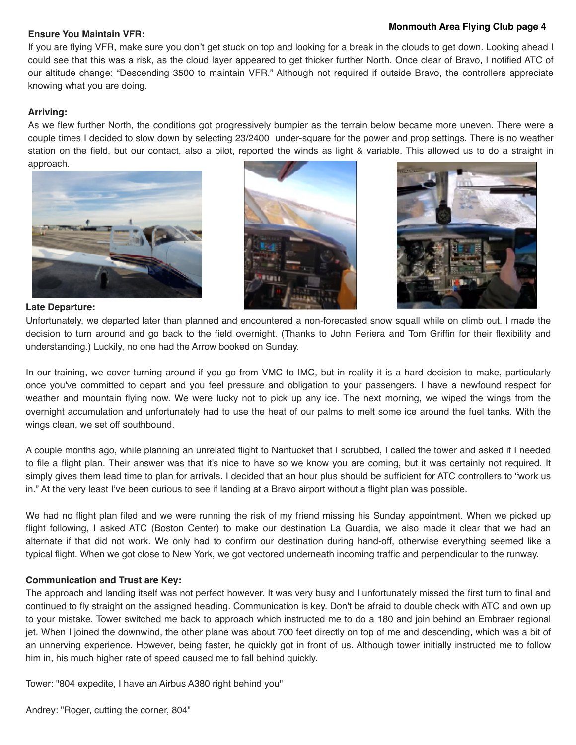### **Monmouth Area Flying Club page 4 Ensure You Maintain VFR:**

If you are flying VFR, make sure you don't get stuck on top and looking for a break in the clouds to get down. Looking ahead I could see that this was a risk, as the cloud layer appeared to get thicker further North. Once clear of Bravo, I notified ATC of our altitude change: "Descending 3500 to maintain VFR." Although not required if outside Bravo, the controllers appreciate knowing what you are doing.

### **Arriving:**

As we flew further North, the conditions got progressively bumpier as the terrain below became more uneven. There were a couple times I decided to slow down by selecting 23/2400 under-square for the power and prop settings. There is no weather station on the field, but our contact, also a pilot, reported the winds as light & variable. This allowed us to do a straight in approach.







### **Late Departure:**

Unfortunately, we departed later than planned and encountered a non-forecasted snow squall while on climb out. I made the decision to turn around and go back to the field overnight. (Thanks to John Periera and Tom Griffin for their flexibility and understanding.) Luckily, no one had the Arrow booked on Sunday.

In our training, we cover turning around if you go from VMC to IMC, but in reality it is a hard decision to make, particularly once you've committed to depart and you feel pressure and obligation to your passengers. I have a newfound respect for weather and mountain flying now. We were lucky not to pick up any ice. The next morning, we wiped the wings from the overnight accumulation and unfortunately had to use the heat of our palms to melt some ice around the fuel tanks. With the wings clean, we set off southbound.

A couple months ago, while planning an unrelated flight to Nantucket that I scrubbed, I called the tower and asked if I needed to file a flight plan. Their answer was that it's nice to have so we know you are coming, but it was certainly not required. It simply gives them lead time to plan for arrivals. I decided that an hour plus should be sufficient for ATC controllers to "work us in." At the very least I've been curious to see if landing at a Bravo airport without a flight plan was possible.

We had no flight plan filed and we were running the risk of my friend missing his Sunday appointment. When we picked up flight following, I asked ATC (Boston Center) to make our destination La Guardia, we also made it clear that we had an alternate if that did not work. We only had to confirm our destination during hand-off, otherwise everything seemed like a typical flight. When we got close to New York, we got vectored underneath incoming traffic and perpendicular to the runway.

### **Communication and Trust are Key:**

The approach and landing itself was not perfect however. It was very busy and I unfortunately missed the first turn to final and continued to fly straight on the assigned heading. Communication is key. Don't be afraid to double check with ATC and own up to your mistake. Tower switched me back to approach which instructed me to do a 180 and join behind an Embraer regional jet. When I joined the downwind, the other plane was about 700 feet directly on top of me and descending, which was a bit of an unnerving experience. However, being faster, he quickly got in front of us. Although tower initially instructed me to follow him in, his much higher rate of speed caused me to fall behind quickly.

Tower: "804 expedite, I have an Airbus A380 right behind you"

Andrey: "Roger, cutting the corner, 804"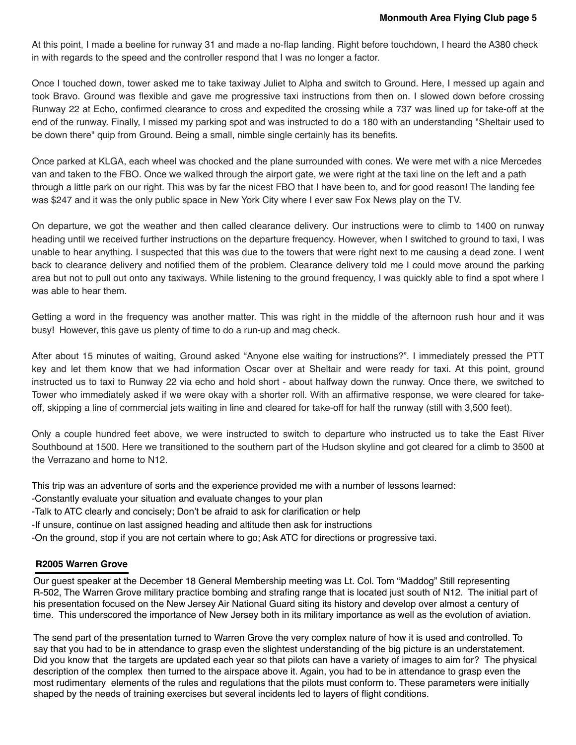At this point, I made a beeline for runway 31 and made a no-flap landing. Right before touchdown, I heard the A380 check in with regards to the speed and the controller respond that I was no longer a factor.

Once I touched down, tower asked me to take taxiway Juliet to Alpha and switch to Ground. Here, I messed up again and took Bravo. Ground was flexible and gave me progressive taxi instructions from then on. I slowed down before crossing Runway 22 at Echo, confirmed clearance to cross and expedited the crossing while a 737 was lined up for take-off at the end of the runway. Finally, I missed my parking spot and was instructed to do a 180 with an understanding "Sheltair used to be down there" quip from Ground. Being a small, nimble single certainly has its benefits.

Once parked at KLGA, each wheel was chocked and the plane surrounded with cones. We were met with a nice Mercedes van and taken to the FBO. Once we walked through the airport gate, we were right at the taxi line on the left and a path through a little park on our right. This was by far the nicest FBO that I have been to, and for good reason! The landing fee was \$247 and it was the only public space in New York City where I ever saw Fox News play on the TV.

On departure, we got the weather and then called clearance delivery. Our instructions were to climb to 1400 on runway heading until we received further instructions on the departure frequency. However, when I switched to ground to taxi, I was unable to hear anything. I suspected that this was due to the towers that were right next to me causing a dead zone. I went back to clearance delivery and notified them of the problem. Clearance delivery told me I could move around the parking area but not to pull out onto any taxiways. While listening to the ground frequency, I was quickly able to find a spot where I was able to hear them.

Getting a word in the frequency was another matter. This was right in the middle of the afternoon rush hour and it was busy! However, this gave us plenty of time to do a run-up and mag check.

After about 15 minutes of waiting, Ground asked "Anyone else waiting for instructions?". I immediately pressed the PTT key and let them know that we had information Oscar over at Sheltair and were ready for taxi. At this point, ground instructed us to taxi to Runway 22 via echo and hold short - about halfway down the runway. Once there, we switched to Tower who immediately asked if we were okay with a shorter roll. With an affirmative response, we were cleared for takeoff, skipping a line of commercial jets waiting in line and cleared for take-off for half the runway (still with 3,500 feet).

Only a couple hundred feet above, we were instructed to switch to departure who instructed us to take the East River Southbound at 1500. Here we transitioned to the southern part of the Hudson skyline and got cleared for a climb to 3500 at the Verrazano and home to N12.

This trip was an adventure of sorts and the experience provided me with a number of lessons learned:

- -Constantly evaluate your situation and evaluate changes to your plan
- -Talk to ATC clearly and concisely; Don't be afraid to ask for clarification or help
- -If unsure, continue on last assigned heading and altitude then ask for instructions
- -On the ground, stop if you are not certain where to go; Ask ATC for directions or progressive taxi.

### **R2005 Warren Grove**

Our guest speaker at the December 18 General Membership meeting was Lt. Col. Tom "Maddog" Still representing R-502, The Warren Grove military practice bombing and strafing range that is located just south of N12. The initial part of his presentation focused on the New Jersey Air National Guard siting its history and develop over almost a century of time. This underscored the importance of New Jersey both in its military importance as well as the evolution of aviation.

The send part of the presentation turned to Warren Grove the very complex nature of how it is used and controlled. To say that you had to be in attendance to grasp even the slightest understanding of the big picture is an understatement. Did you know that the targets are updated each year so that pilots can have a variety of images to aim for? The physical description of the complex then turned to the airspace above it. Again, you had to be in attendance to grasp even the most rudimentary elements of the rules and regulations that the pilots must conform to. These parameters were initially shaped by the needs of training exercises but several incidents led to layers of flight conditions.